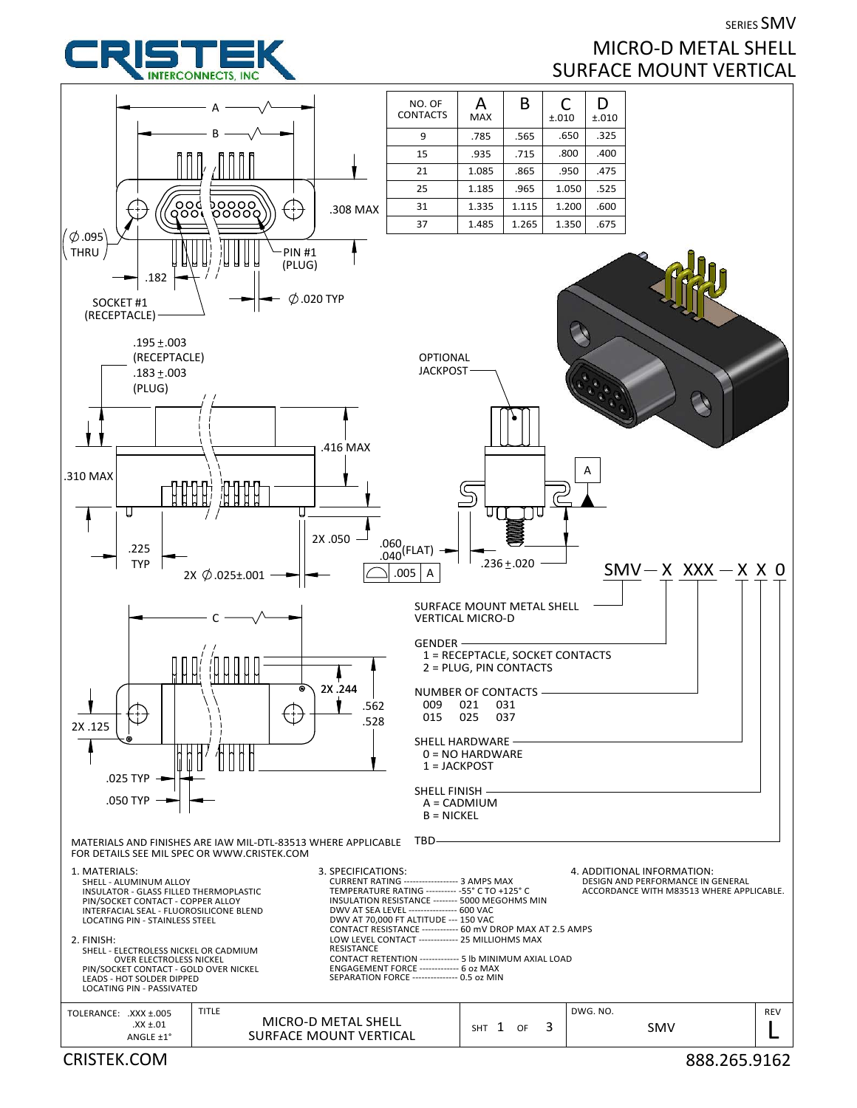

## SERIES SMV MICRO‐D METAL SHELL SURFACE MOUNT VERTICAL

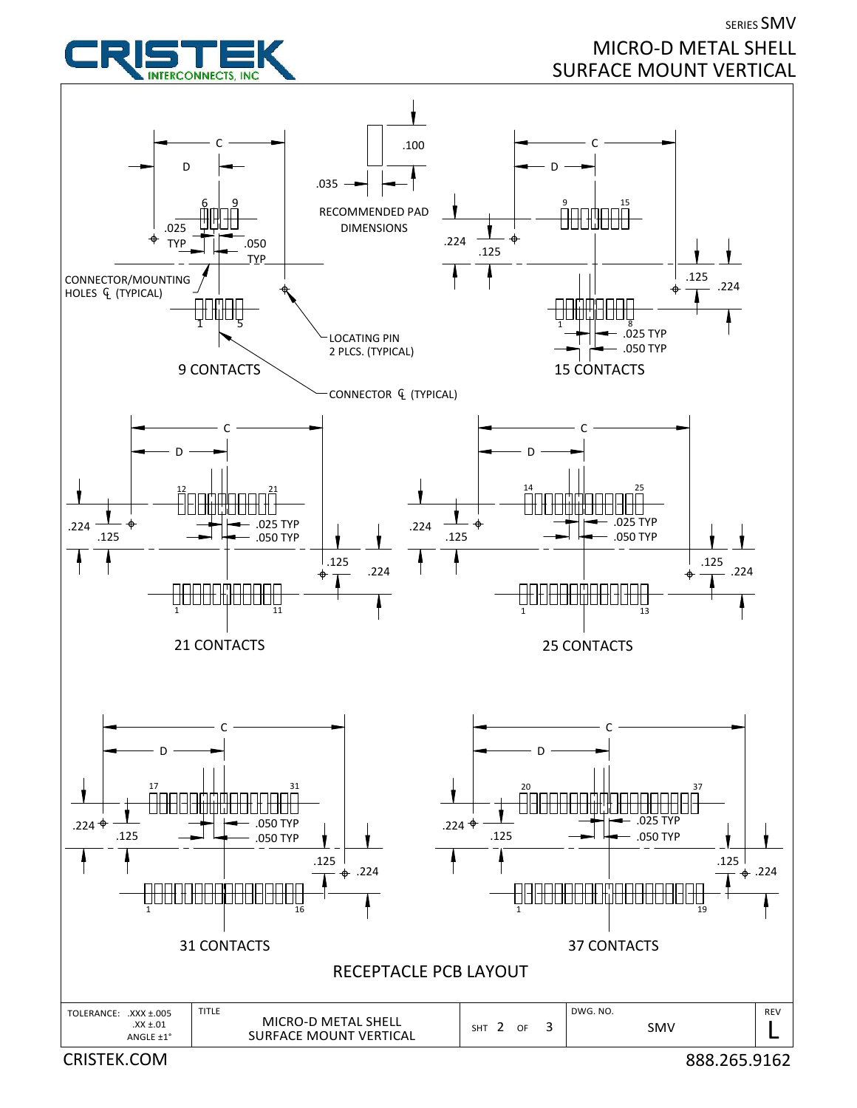

SERIES SMV MICRO‐D METAL SHELL